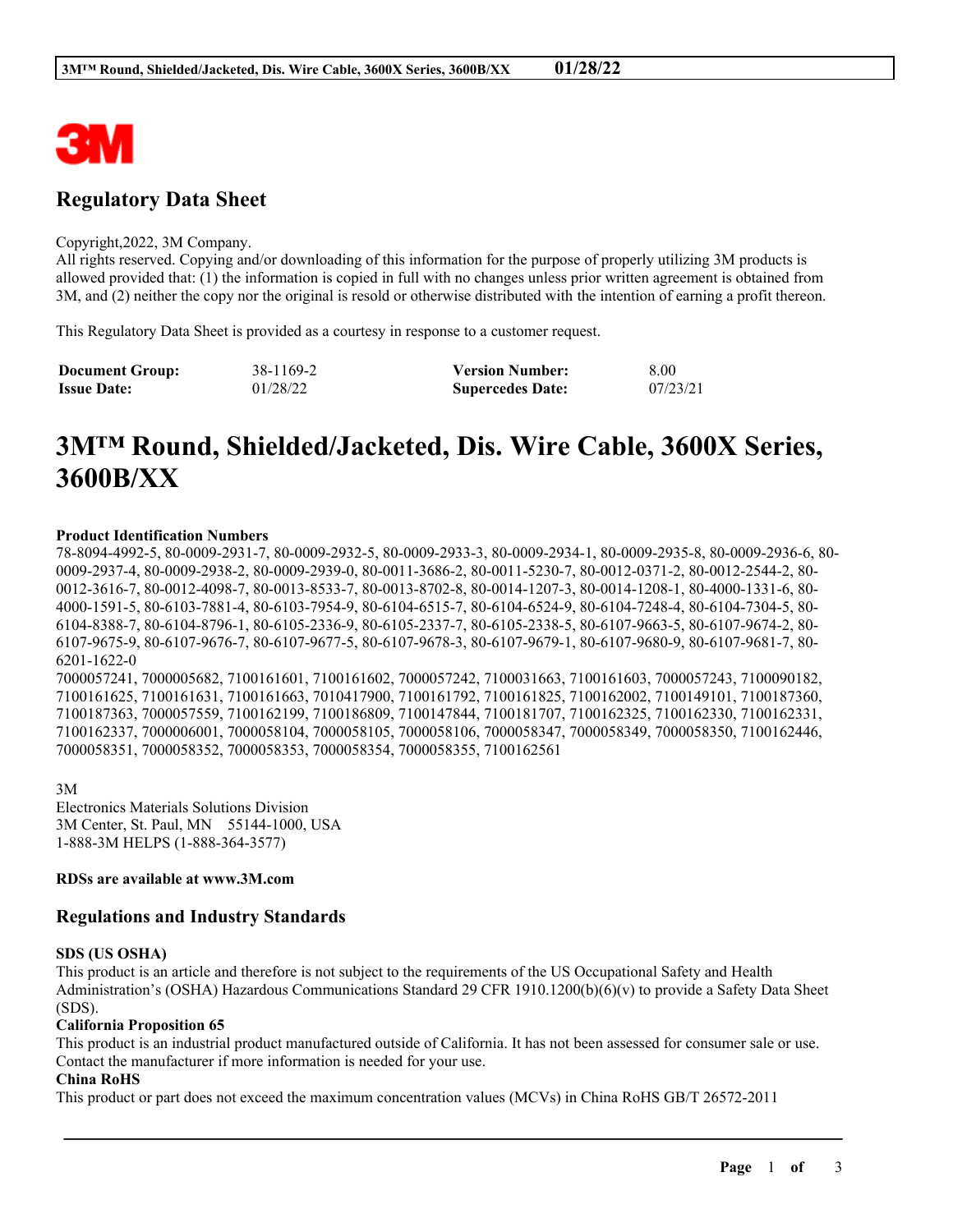

# **Regulatory Data Sheet**

#### Copyright,2022, 3M Company.

All rights reserved. Copying and/or downloading of this information for the purpose of properly utilizing 3M products is allowed provided that: (1) the information is copied in full with no changes unless prior written agreement is obtained from 3M, and (2) neither the copy nor the original is resold or otherwise distributed with the intention of earning a profit thereon.

This Regulatory Data Sheet is provided as a courtesy in response to a customer request.

| <b>Document Group:</b> | 38-1169-2 | <b>Version Number:</b>  | 8.00     |
|------------------------|-----------|-------------------------|----------|
| <b>Issue Date:</b>     | 01/28/22  | <b>Supercedes Date:</b> | 07/23/21 |

# **3M™ Round, Shielded/Jacketed, Dis. Wire Cable, 3600X Series, 3600B/XX**

#### **Product Identification Numbers**

78-8094-4992-5, 80-0009-2931-7, 80-0009-2932-5, 80-0009-2933-3, 80-0009-2934-1, 80-0009-2935-8, 80-0009-2936-6, 80- 0009-2937-4, 80-0009-2938-2, 80-0009-2939-0, 80-0011-3686-2, 80-0011-5230-7, 80-0012-0371-2, 80-0012-2544-2, 80- 0012-3616-7, 80-0012-4098-7, 80-0013-8533-7, 80-0013-8702-8, 80-0014-1207-3, 80-0014-1208-1, 80-4000-1331-6, 80- 4000-1591-5, 80-6103-7881-4, 80-6103-7954-9, 80-6104-6515-7, 80-6104-6524-9, 80-6104-7248-4, 80-6104-7304-5, 80- 6104-8388-7, 80-6104-8796-1, 80-6105-2336-9, 80-6105-2337-7, 80-6105-2338-5, 80-6107-9663-5, 80-6107-9674-2, 80- 6107-9675-9, 80-6107-9676-7, 80-6107-9677-5, 80-6107-9678-3, 80-6107-9679-1, 80-6107-9680-9, 80-6107-9681-7, 80- 6201-1622-0 7000057241, 7000005682, 7100161601, 7100161602, 7000057242, 7100031663, 7100161603, 7000057243, 7100090182,

7100161625, 7100161631, 7100161663, 7010417900, 7100161792, 7100161825, 7100162002, 7100149101, 7100187360, 7100187363, 7000057559, 7100162199, 7100186809, 7100147844, 7100181707, 7100162325, 7100162330, 7100162331, 7100162337, 7000006001, 7000058104, 7000058105, 7000058106, 7000058347, 7000058349, 7000058350, 7100162446, 7000058351, 7000058352, 7000058353, 7000058354, 7000058355, 7100162561

3M Electronics Materials Solutions Division 3M Center, St. Paul, MN 55144-1000, USA 1-888-3M HELPS (1-888-364-3577)

#### **RDSs are available at www.3M.com**

# **Regulations and Industry Standards**

#### **SDS (US OSHA)**

This product is an article and therefore is not subject to the requirements of the US Occupational Safety and Health Administration's (OSHA) Hazardous Communications Standard 29 CFR 1910.1200(b)(6)(v) to provide a Safety Data Sheet (SDS).

#### **California Proposition 65**

This product is an industrial product manufactured outside of California. It has not been assessed for consumer sale or use. Contact the manufacturer if more information is needed for your use.

\_\_\_\_\_\_\_\_\_\_\_\_\_\_\_\_\_\_\_\_\_\_\_\_\_\_\_\_\_\_\_\_\_\_\_\_\_\_\_\_\_\_\_\_\_\_\_\_\_\_\_\_\_\_\_\_\_\_\_\_\_\_\_\_\_\_\_\_\_\_\_\_\_\_\_\_\_\_\_\_\_\_\_\_\_\_\_\_\_\_

#### **China RoHS**

This product or part does not exceed the maximum concentration values (MCVs) in China RoHS GB/T 26572-2011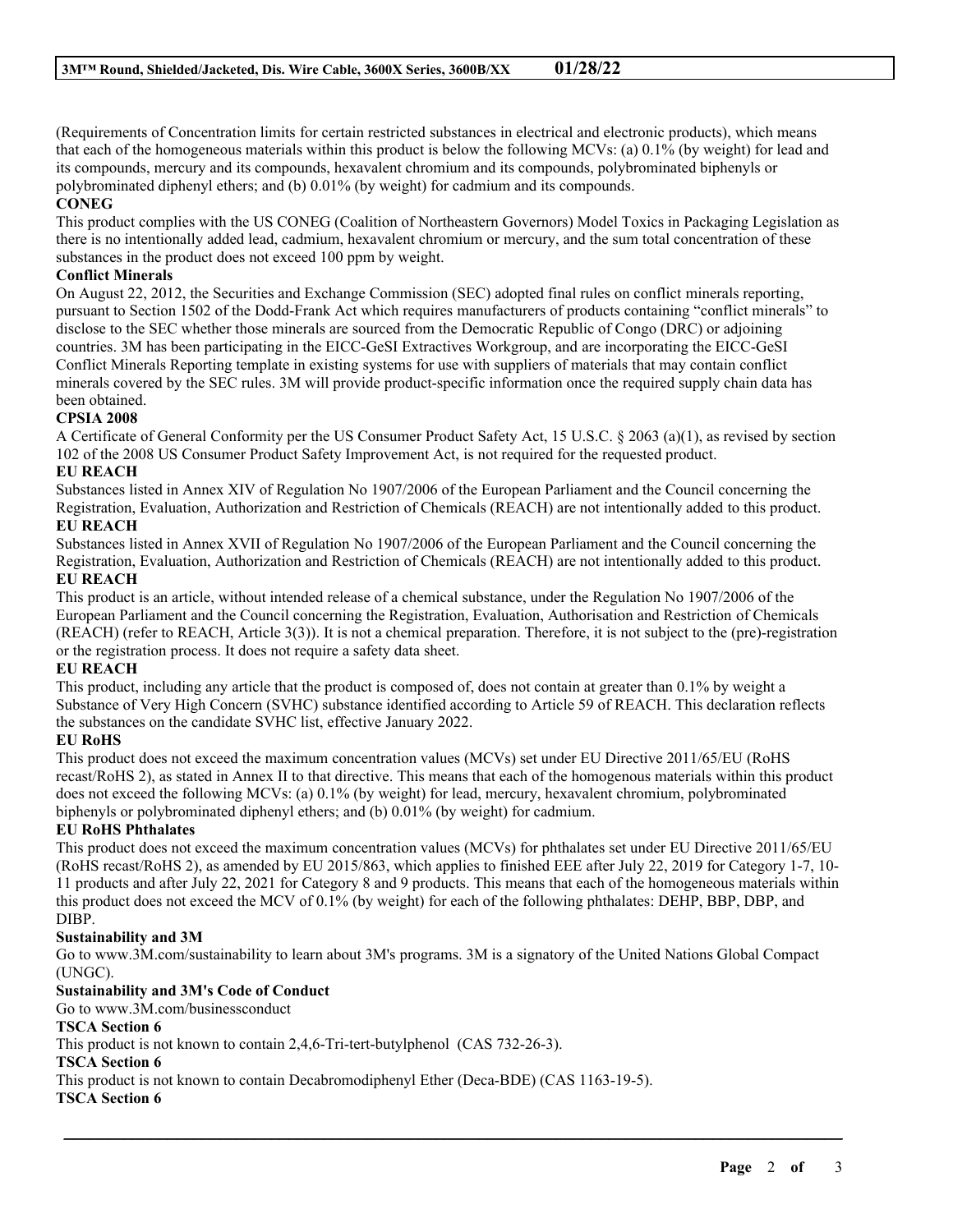(Requirements of Concentration limits for certain restricted substances in electrical and electronic products), which means that each of the homogeneous materials within this product is below the following MCVs: (a) 0.1% (by weight) for lead and its compounds, mercury and its compounds, hexavalent chromium and its compounds, polybrominated biphenyls or polybrominated diphenyl ethers; and (b) 0.01% (by weight) for cadmium and its compounds.

# **CONEG**

This product complies with the US CONEG (Coalition of Northeastern Governors) Model Toxics in Packaging Legislation as there is no intentionally added lead, cadmium, hexavalent chromium or mercury, and the sum total concentration of these substances in the product does not exceed 100 ppm by weight.

# **Conflict Minerals**

On August 22, 2012, the Securities and Exchange Commission (SEC) adopted final rules on conflict minerals reporting, pursuant to Section 1502 of the Dodd-Frank Act which requires manufacturers of products containing "conflict minerals" to disclose to the SEC whether those minerals are sourced from the Democratic Republic of Congo (DRC) or adjoining countries. 3M has been participating in the EICC-GeSI Extractives Workgroup, and are incorporating the EICC-GeSI Conflict Minerals Reporting template in existing systems for use with suppliers of materials that may contain conflict minerals covered by the SEC rules. 3M will provide product-specific information once the required supply chain data has been obtained.

# **CPSIA 2008**

A Certificate of General Conformity per the US Consumer Product Safety Act, 15 U.S.C. § 2063 (a)(1), as revised by section 102 of the 2008 US Consumer Product Safety Improvement Act, is not required for the requested product.

# **EU REACH**

Substances listed in Annex XIV of Regulation No 1907/2006 of the European Parliament and the Council concerning the Registration, Evaluation, Authorization and Restriction of Chemicals (REACH) are not intentionally added to this product.

# **EU REACH**

Substances listed in Annex XVII of Regulation No 1907/2006 of the European Parliament and the Council concerning the Registration, Evaluation, Authorization and Restriction of Chemicals (REACH) are not intentionally added to this product. **EU REACH**

This product is an article, without intended release of a chemical substance, under the Regulation No 1907/2006 of the European Parliament and the Council concerning the Registration, Evaluation, Authorisation and Restriction of Chemicals (REACH) (refer to REACH, Article 3(3)). It is not a chemical preparation. Therefore, it is not subject to the (pre)-registration or the registration process. It does not require a safety data sheet.

# **EU REACH**

This product, including any article that the product is composed of, does not contain at greater than 0.1% by weight a Substance of Very High Concern (SVHC) substance identified according to Article 59 of REACH. This declaration reflects the substances on the candidate SVHC list, effective January 2022.

# **EU RoHS**

This product does not exceed the maximum concentration values (MCVs) set under EU Directive 2011/65/EU (RoHS recast/RoHS 2), as stated in Annex II to that directive. This means that each of the homogenous materials within this product does not exceed the following MCVs: (a) 0.1% (by weight) for lead, mercury, hexavalent chromium, polybrominated biphenyls or polybrominated diphenyl ethers; and (b) 0.01% (by weight) for cadmium.

# **EU RoHS Phthalates**

This product does not exceed the maximum concentration values (MCVs) for phthalates set under EU Directive 2011/65/EU (RoHS recast/RoHS 2), as amended by EU 2015/863, which applies to finished EEE after July 22, 2019 for Category 1-7, 10- 11 products and after July 22, 2021 for Category 8 and 9 products. This means that each of the homogeneous materials within this product does not exceed the MCV of 0.1% (by weight) for each of the following phthalates: DEHP, BBP, DBP, and DIBP.

# **Sustainability and 3M**

Go to www.3M.com/sustainability to learn about 3M's programs. 3M is a signatory of the United Nations Global Compact (UNGC).

\_\_\_\_\_\_\_\_\_\_\_\_\_\_\_\_\_\_\_\_\_\_\_\_\_\_\_\_\_\_\_\_\_\_\_\_\_\_\_\_\_\_\_\_\_\_\_\_\_\_\_\_\_\_\_\_\_\_\_\_\_\_\_\_\_\_\_\_\_\_\_\_\_\_\_\_\_\_\_\_\_\_\_\_\_\_\_\_\_\_

# **Sustainability and 3M's Code of Conduct**

Go to www.3M.com/businessconduct

# **TSCA Section 6**

This product is not known to contain 2,4,6-Tri-tert-butylphenol (CAS 732-26-3).

# **TSCA Section 6**

This product is not known to contain Decabromodiphenyl Ether (Deca-BDE) (CAS 1163-19-5).

# **TSCA Section 6**